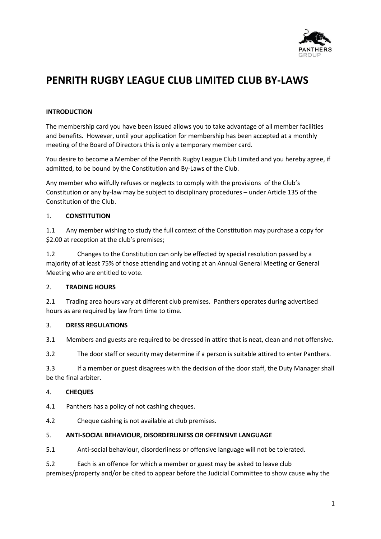

# **PENRITH RUGBY LEAGUE CLUB LIMITED CLUB BY-LAWS**

# **INTRODUCTION**

The membership card you have been issued allows you to take advantage of all member facilities and benefits. However, until your application for membership has been accepted at a monthly meeting of the Board of Directors this is only a temporary member card.

You desire to become a Member of the Penrith Rugby League Club Limited and you hereby agree, if admitted, to be bound by the Constitution and By-Laws of the Club.

Any member who wilfully refuses or neglects to comply with the provisions of the Club's Constitution or any by-law may be subject to disciplinary procedures – under Article 135 of the Constitution of the Club.

## 1. **CONSTITUTION**

1.1 Any member wishing to study the full context of the Constitution may purchase a copy for \$2.00 at reception at the club's premises;

1.2 Changes to the Constitution can only be effected by special resolution passed by a majority of at least 75% of those attending and voting at an Annual General Meeting or General Meeting who are entitled to vote.

# 2. **TRADING HOURS**

2.1 Trading area hours vary at different club premises. Panthers operates during advertised hours as are required by law from time to time.

# 3. **DRESS REGULATIONS**

3.1 Members and guests are required to be dressed in attire that is neat, clean and not offensive.

3.2 The door staff or security may determine if a person is suitable attired to enter Panthers.

3.3 If a member or guest disagrees with the decision of the door staff, the Duty Manager shall be the final arbiter.

# 4. **CHEQUES**

4.1 Panthers has a policy of not cashing cheques.

4.2 Cheque cashing is not available at club premises.

#### 5. **ANTI-SOCIAL BEHAVIOUR, DISORDERLINESS OR OFFENSIVE LANGUAGE**

5.1 Anti-social behaviour, disorderliness or offensive language will not be tolerated.

5.2 Each is an offence for which a member or guest may be asked to leave club premises/property and/or be cited to appear before the Judicial Committee to show cause why the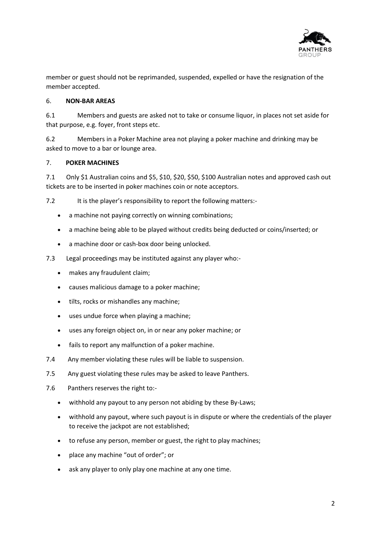

member or guest should not be reprimanded, suspended, expelled or have the resignation of the member accepted.

## 6. **NON-BAR AREAS**

6.1 Members and guests are asked not to take or consume liquor, in places not set aside for that purpose, e.g. foyer, front steps etc.

6.2 Members in a Poker Machine area not playing a poker machine and drinking may be asked to move to a bar or lounge area.

## 7. **POKER MACHINES**

7.1 Only \$1 Australian coins and \$5, \$10, \$20, \$50, \$100 Australian notes and approved cash out tickets are to be inserted in poker machines coin or note acceptors.

7.2 It is the player's responsibility to report the following matters:-

- a machine not paying correctly on winning combinations;
- a machine being able to be played without credits being deducted or coins/inserted; or
- a machine door or cash-box door being unlocked.
- 7.3 Legal proceedings may be instituted against any player who:-
	- makes any fraudulent claim;
	- causes malicious damage to a poker machine;
	- tilts, rocks or mishandles any machine;
	- uses undue force when playing a machine;
	- uses any foreign object on, in or near any poker machine; or
	- fails to report any malfunction of a poker machine.
- 7.4 Any member violating these rules will be liable to suspension.
- 7.5 Any guest violating these rules may be asked to leave Panthers.
- 7.6 Panthers reserves the right to:-
	- withhold any payout to any person not abiding by these By-Laws;
	- withhold any payout, where such payout is in dispute or where the credentials of the player to receive the jackpot are not established;
	- to refuse any person, member or guest, the right to play machines;
	- place any machine "out of order"; or
	- ask any player to only play one machine at any one time.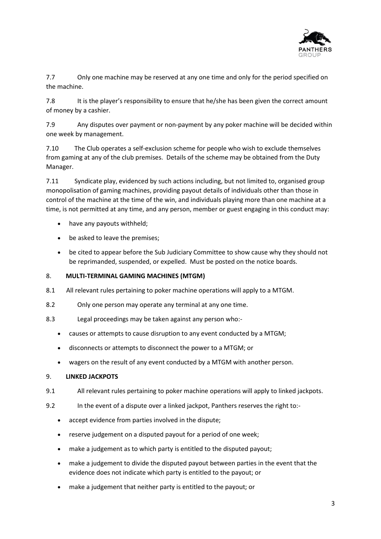

7.7 Only one machine may be reserved at any one time and only for the period specified on the machine.

7.8 It is the player's responsibility to ensure that he/she has been given the correct amount of money by a cashier.

7.9 Any disputes over payment or non-payment by any poker machine will be decided within one week by management.

7.10 The Club operates a self-exclusion scheme for people who wish to exclude themselves from gaming at any of the club premises. Details of the scheme may be obtained from the Duty Manager.

7.11 Syndicate play, evidenced by such actions including, but not limited to, organised group monopolisation of gaming machines, providing payout details of individuals other than those in control of the machine at the time of the win, and individuals playing more than one machine at a time, is not permitted at any time, and any person, member or guest engaging in this conduct may:

- have any payouts withheld;
- be asked to leave the premises;
- be cited to appear before the Sub Judiciary Committee to show cause why they should not be reprimanded, suspended, or expelled. Must be posted on the notice boards.

# 8. **MULTI-TERMINAL GAMING MACHINES (MTGM)**

- 8.1 All relevant rules pertaining to poker machine operations will apply to a MTGM.
- 8.2 Only one person may operate any terminal at any one time.
- 8.3 Legal proceedings may be taken against any person who:-
	- causes or attempts to cause disruption to any event conducted by a MTGM;
	- disconnects or attempts to disconnect the power to a MTGM; or
	- wagers on the result of any event conducted by a MTGM with another person.

#### 9. **LINKED JACKPOTS**

- 9.1 All relevant rules pertaining to poker machine operations will apply to linked jackpots.
- 9.2 In the event of a dispute over a linked jackpot, Panthers reserves the right to:-
	- accept evidence from parties involved in the dispute;
	- reserve judgement on a disputed payout for a period of one week;
	- make a judgement as to which party is entitled to the disputed payout;
	- make a judgement to divide the disputed payout between parties in the event that the evidence does not indicate which party is entitled to the payout; or
	- make a judgement that neither party is entitled to the payout; or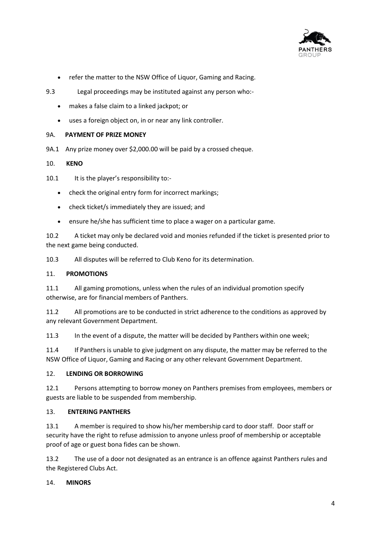

- refer the matter to the NSW Office of Liquor, Gaming and Racing.
- 9.3 Legal proceedings may be instituted against any person who:-
	- makes a false claim to a linked jackpot; or
	- uses a foreign object on, in or near any link controller.

#### 9A. **PAYMENT OF PRIZE MONEY**

9A.1 Any prize money over \$2,000.00 will be paid by a crossed cheque.

#### 10. **KENO**

- 10.1 It is the player's responsibility to:-
	- check the original entry form for incorrect markings;
	- check ticket/s immediately they are issued; and
	- ensure he/she has sufficient time to place a wager on a particular game.

10.2 A ticket may only be declared void and monies refunded if the ticket is presented prior to the next game being conducted.

10.3 All disputes will be referred to Club Keno for its determination.

#### 11. **PROMOTIONS**

11.1 All gaming promotions, unless when the rules of an individual promotion specify otherwise, are for financial members of Panthers.

11.2 All promotions are to be conducted in strict adherence to the conditions as approved by any relevant Government Department.

11.3 In the event of a dispute, the matter will be decided by Panthers within one week;

11.4 If Panthers is unable to give judgment on any dispute, the matter may be referred to the NSW Office of Liquor, Gaming and Racing or any other relevant Government Department.

#### 12. **LENDING OR BORROWING**

12.1 Persons attempting to borrow money on Panthers premises from employees, members or guests are liable to be suspended from membership.

#### 13. **ENTERING PANTHERS**

13.1 A member is required to show his/her membership card to door staff. Door staff or security have the right to refuse admission to anyone unless proof of membership or acceptable proof of age or guest bona fides can be shown.

13.2 The use of a door not designated as an entrance is an offence against Panthers rules and the Registered Clubs Act.

#### 14. **MINORS**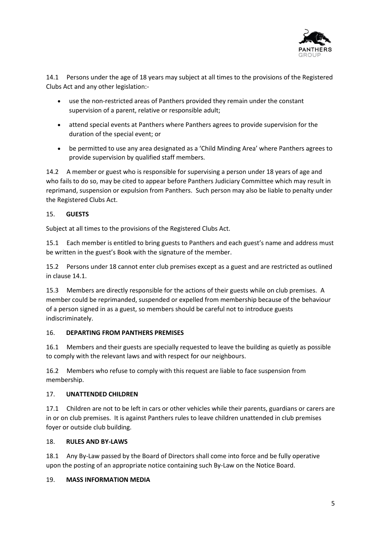

14.1 Persons under the age of 18 years may subject at all times to the provisions of the Registered Clubs Act and any other legislation:-

- use the non-restricted areas of Panthers provided they remain under the constant supervision of a parent, relative or responsible adult;
- attend special events at Panthers where Panthers agrees to provide supervision for the duration of the special event; or
- be permitted to use any area designated as a 'Child Minding Area' where Panthers agrees to provide supervision by qualified staff members.

14.2 A member or guest who is responsible for supervising a person under 18 years of age and who fails to do so, may be cited to appear before Panthers Judiciary Committee which may result in reprimand, suspension or expulsion from Panthers. Such person may also be liable to penalty under the Registered Clubs Act.

# 15. **GUESTS**

Subject at all times to the provisions of the Registered Clubs Act.

15.1 Each member is entitled to bring guests to Panthers and each guest's name and address must be written in the guest's Book with the signature of the member.

15.2 Persons under 18 cannot enter club premises except as a guest and are restricted as outlined in clause 14.1.

15.3 Members are directly responsible for the actions of their guests while on club premises. A member could be reprimanded, suspended or expelled from membership because of the behaviour of a person signed in as a guest, so members should be careful not to introduce guests indiscriminately.

# 16. **DEPARTING FROM PANTHERS PREMISES**

16.1 Members and their guests are specially requested to leave the building as quietly as possible to comply with the relevant laws and with respect for our neighbours.

16.2 Members who refuse to comply with this request are liable to face suspension from membership.

# 17. **UNATTENDED CHILDREN**

17.1 Children are not to be left in cars or other vehicles while their parents, guardians or carers are in or on club premises. It is against Panthers rules to leave children unattended in club premises foyer or outside club building.

# 18. **RULES AND BY-LAWS**

18.1 Any By-Law passed by the Board of Directors shall come into force and be fully operative upon the posting of an appropriate notice containing such By-Law on the Notice Board.

#### 19. **MASS INFORMATION MEDIA**